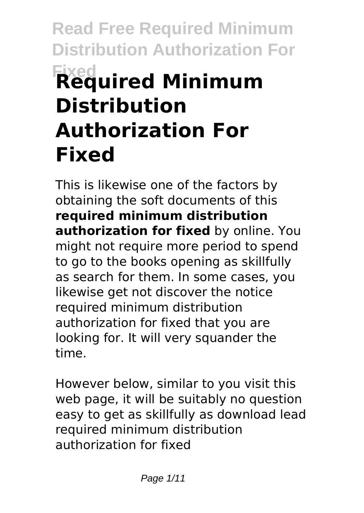# **Read Free Required Minimum Distribution Authorization For Fixed Required Minimum Distribution Authorization For Fixed**

This is likewise one of the factors by obtaining the soft documents of this **required minimum distribution authorization for fixed** by online. You might not require more period to spend to go to the books opening as skillfully as search for them. In some cases, you likewise get not discover the notice required minimum distribution authorization for fixed that you are looking for. It will very squander the time.

However below, similar to you visit this web page, it will be suitably no question easy to get as skillfully as download lead required minimum distribution authorization for fixed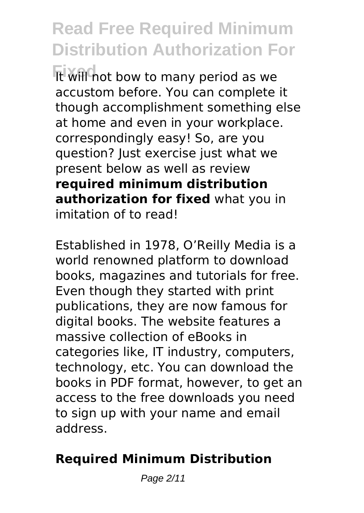It will not bow to many period as we accustom before. You can complete it though accomplishment something else at home and even in your workplace. correspondingly easy! So, are you question? Just exercise just what we present below as well as review **required minimum distribution authorization for fixed** what you in imitation of to read!

Established in 1978, O'Reilly Media is a world renowned platform to download books, magazines and tutorials for free. Even though they started with print publications, they are now famous for digital books. The website features a massive collection of eBooks in categories like, IT industry, computers, technology, etc. You can download the books in PDF format, however, to get an access to the free downloads you need to sign up with your name and email address.

#### **Required Minimum Distribution**

Page 2/11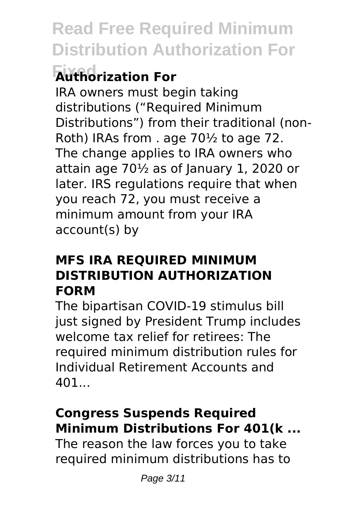### **Fixed Authorization For**

IRA owners must begin taking distributions ("Required Minimum Distributions") from their traditional (non-Roth) IRAs from . age 70½ to age 72. The change applies to IRA owners who attain age  $70\frac{1}{2}$  as of January 1, 2020 or later. IRS regulations require that when you reach 72, you must receive a minimum amount from your IRA account(s) by

#### **MFS IRA REQUIRED MINIMUM DISTRIBUTION AUTHORIZATION FORM**

The bipartisan COVID-19 stimulus bill just signed by President Trump includes welcome tax relief for retirees: The required minimum distribution rules for Individual Retirement Accounts and 401

#### **Congress Suspends Required Minimum Distributions For 401(k ...**

The reason the law forces you to take required minimum distributions has to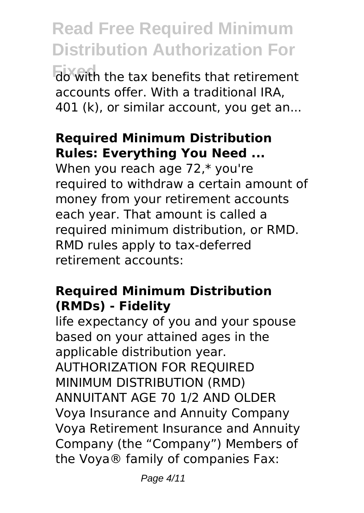**Read Free Required Minimum Distribution Authorization For Fixed** do with the tax benefits that retirement accounts offer. With a traditional IRA, 401 (k), or similar account, you get an...

#### **Required Minimum Distribution Rules: Everything You Need ...**

When you reach age 72,\* you're required to withdraw a certain amount of money from your retirement accounts each year. That amount is called a required minimum distribution, or RMD. RMD rules apply to tax-deferred retirement accounts:

#### **Required Minimum Distribution (RMDs) - Fidelity**

life expectancy of you and your spouse based on your attained ages in the applicable distribution year. AUTHORIZATION FOR REQUIRED MINIMUM DISTRIBUTION (RMD) ANNUITANT AGE 70 1/2 AND OLDER Voya Insurance and Annuity Company Voya Retirement Insurance and Annuity Company (the "Company") Members of the Voya® family of companies Fax: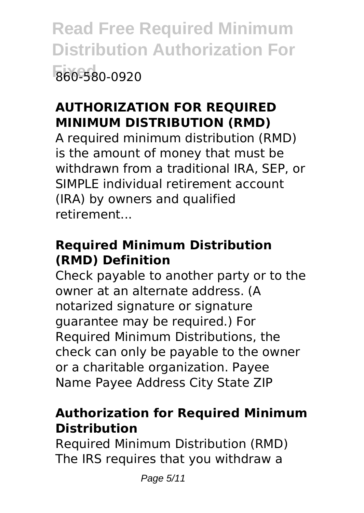**Read Free Required Minimum Distribution Authorization For Fixed** 860-580-0920

#### **AUTHORIZATION FOR REQUIRED MINIMUM DISTRIBUTION (RMD)**

A required minimum distribution (RMD) is the amount of money that must be withdrawn from a traditional IRA, SEP, or SIMPLE individual retirement account (IRA) by owners and qualified retirement...

#### **Required Minimum Distribution (RMD) Definition**

Check payable to another party or to the owner at an alternate address. (A notarized signature or signature guarantee may be required.) For Required Minimum Distributions, the check can only be payable to the owner or a charitable organization. Payee Name Payee Address City State ZIP

#### **Authorization for Required Minimum Distribution**

Required Minimum Distribution (RMD) The IRS requires that you withdraw a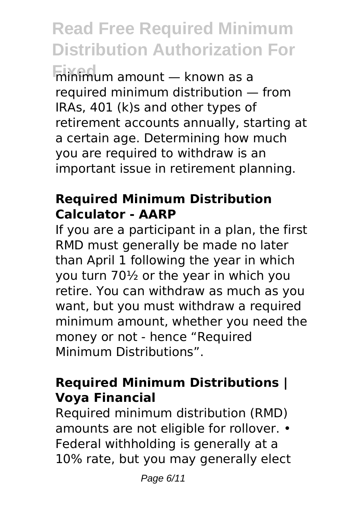**Fixed** minimum amount — known as a required minimum distribution — from IRAs, 401 (k)s and other types of retirement accounts annually, starting at a certain age. Determining how much you are required to withdraw is an important issue in retirement planning.

#### **Required Minimum Distribution Calculator - AARP**

If you are a participant in a plan, the first RMD must generally be made no later than April 1 following the year in which you turn 70½ or the year in which you retire. You can withdraw as much as you want, but you must withdraw a required minimum amount, whether you need the money or not - hence "Required Minimum Distributions".

#### **Required Minimum Distributions | Voya Financial**

Required minimum distribution (RMD) amounts are not eligible for rollover. • Federal withholding is generally at a 10% rate, but you may generally elect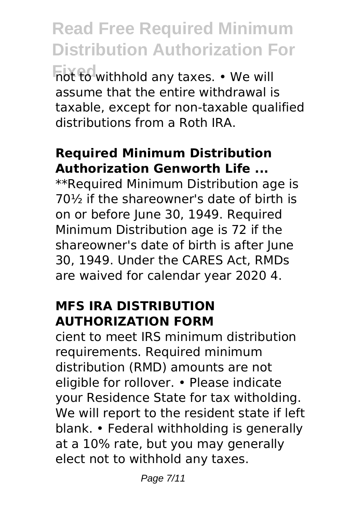**Read Free Required Minimum Distribution Authorization For** not to withhold any taxes. • We will assume that the entire withdrawal is taxable, except for non-taxable qualified distributions from a Roth IRA.

#### **Required Minimum Distribution Authorization Genworth Life ...**

\*\*Required Minimum Distribution age is 70½ if the shareowner's date of birth is on or before June 30, 1949. Required Minimum Distribution age is 72 if the shareowner's date of birth is after June 30, 1949. Under the CARES Act, RMDs are waived for calendar year 2020 4.

#### **MFS IRA DISTRIBUTION AUTHORIZATION FORM**

cient to meet IRS minimum distribution requirements. Required minimum distribution (RMD) amounts are not eligible for rollover. • Please indicate your Residence State for tax witholding. We will report to the resident state if left blank. • Federal withholding is generally at a 10% rate, but you may generally elect not to withhold any taxes.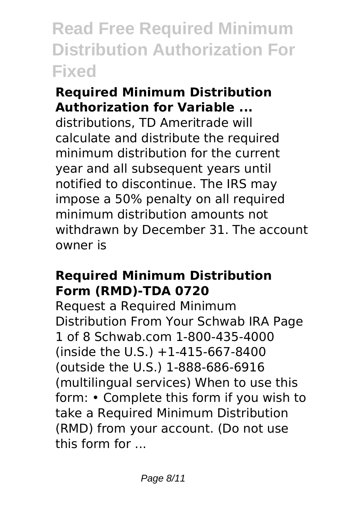#### **Required Minimum Distribution Authorization for Variable ...**

distributions, TD Ameritrade will calculate and distribute the required minimum distribution for the current year and all subsequent years until notified to discontinue. The IRS may impose a 50% penalty on all required minimum distribution amounts not withdrawn by December 31. The account owner is

#### **Required Minimum Distribution Form (RMD)-TDA 0720**

Request a Required Minimum Distribution From Your Schwab IRA Page 1 of 8 Schwab.com 1-800-435-4000 (inside the U.S.) +1-415-667-8400 (outside the U.S.) 1-888-686-6916 (multilingual services) When to use this form: • Complete this form if you wish to take a Required Minimum Distribution (RMD) from your account. (Do not use this form for ...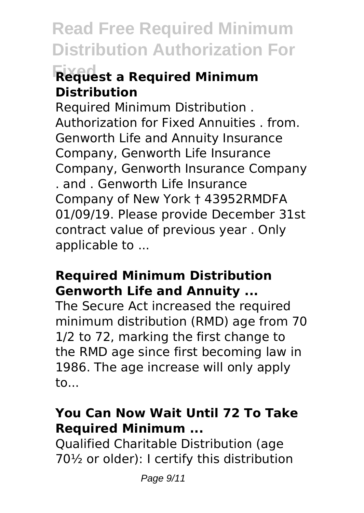### **Fixed Request a Required Minimum Distribution**

Required Minimum Distribution . Authorization for Fixed Annuities . from. Genworth Life and Annuity Insurance Company, Genworth Life Insurance Company, Genworth Insurance Company . and . Genworth Life Insurance Company of New York † 43952RMDFA 01/09/19. Please provide December 31st contract value of previous year . Only applicable to ...

#### **Required Minimum Distribution Genworth Life and Annuity ...**

The Secure Act increased the required minimum distribution (RMD) age from 70 1/2 to 72, marking the first change to the RMD age since first becoming law in 1986. The age increase will only apply to...

#### **You Can Now Wait Until 72 To Take Required Minimum ...**

Qualified Charitable Distribution (age 70½ or older): I certify this distribution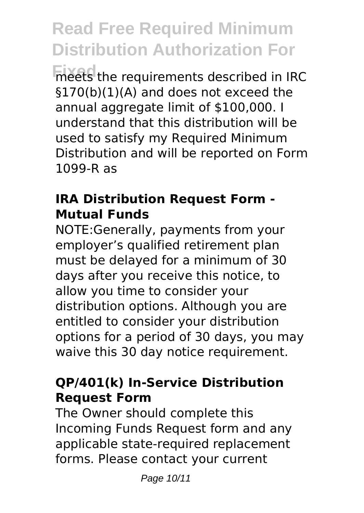**Fixed** meets the requirements described in IRC §170(b)(1)(A) and does not exceed the annual aggregate limit of \$100,000. I understand that this distribution will be used to satisfy my Required Minimum Distribution and will be reported on Form 1099-R as

#### **IRA Distribution Request Form - Mutual Funds**

NOTE:Generally, payments from your employer's qualified retirement plan must be delayed for a minimum of 30 days after you receive this notice, to allow you time to consider your distribution options. Although you are entitled to consider your distribution options for a period of 30 days, you may waive this 30 day notice requirement.

#### **QP/401(k) In-Service Distribution Request Form**

The Owner should complete this Incoming Funds Request form and any applicable state-required replacement forms. Please contact your current